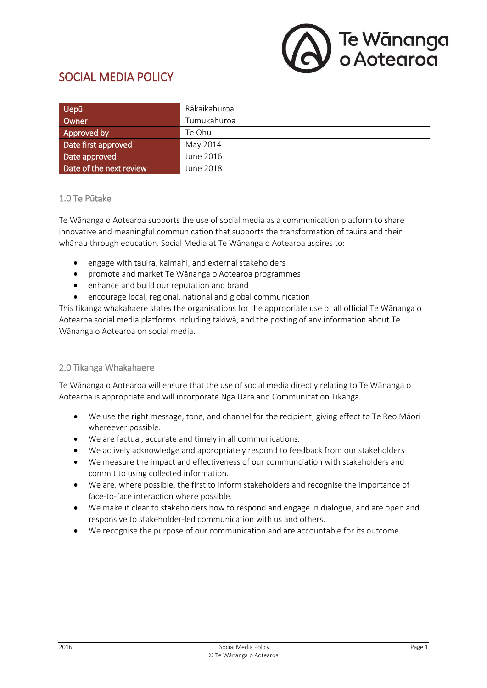

# SOCIAL MEDIA POLICY

| <b>Uepū</b>             | Rākaikahuroa |
|-------------------------|--------------|
| Owner                   | Tumukahuroa  |
| Approved by             | Te Ohu       |
| Date first approved     | May 2014     |
| Date approved           | June 2016    |
| Date of the next review | June 2018    |

#### 1.0 Te Pūtake

Te Wānanga o Aotearoa supports the use of social media as a communication platform to share innovative and meaningful communication that supports the transformation of tauira and their whānau through education. Social Media at Te Wānanga o Aotearoa aspires to:

- engage with tauira, kaimahi, and external stakeholders
- promote and market Te Wānanga o Aotearoa programmes
- enhance and build our reputation and brand
- encourage local, regional, national and global communication

This tikanga whakahaere states the organisations for the appropriate use of all official Te Wānanga o Aotearoa social media platforms including takiwā, and the posting of any information about Te Wānanga o Aotearoa on social media.

### 2.0 Tikanga Whakahaere

Te Wānanga o Aotearoa will ensure that the use of social media directly relating to Te Wānanga o Aotearoa is appropriate and will incorporate Ngā Uara and Communication Tikanga.

- We use the right message, tone, and channel for the recipient; giving effect to Te Reo Māori whereever possible.
- We are factual, accurate and timely in all communications.
- We actively acknowledge and appropriately respond to feedback from our stakeholders
- We measure the impact and effectiveness of our communciation with stakeholders and commit to using collected information.
- We are, where possible, the first to inform stakeholders and recognise the importance of face-to-face interaction where possible.
- We make it clear to stakeholders how to respond and engage in dialogue, and are open and responsive to stakeholder-led communication with us and others.
- We recognise the purpose of our communication and are accountable for its outcome.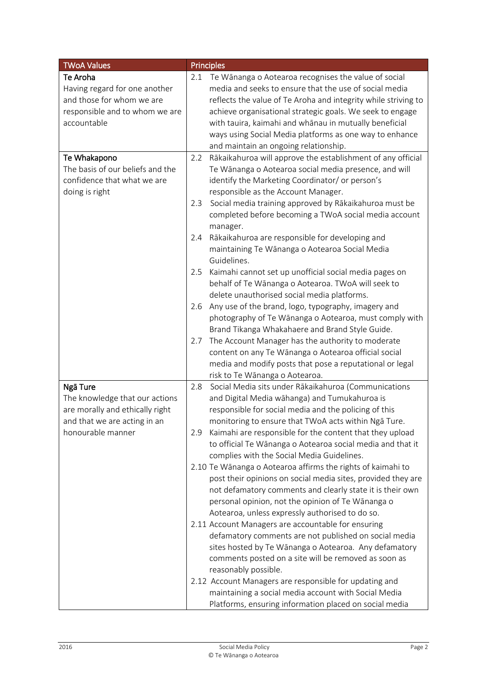| <b>TWoA Values</b>               |     | <b>Principles</b>                                              |
|----------------------------------|-----|----------------------------------------------------------------|
| Te Aroha                         | 2.1 | Te Wānanga o Aotearoa recognises the value of social           |
| Having regard for one another    |     | media and seeks to ensure that the use of social media         |
| and those for whom we are        |     | reflects the value of Te Aroha and integrity while striving to |
| responsible and to whom we are   |     | achieve organisational strategic goals. We seek to engage      |
| accountable                      |     | with tauira, kaimahi and whānau in mutually beneficial         |
|                                  |     | ways using Social Media platforms as one way to enhance        |
|                                  |     | and maintain an ongoing relationship.                          |
| Te Whakapono                     | 2.2 | Rākaikahuroa will approve the establishment of any official    |
| The basis of our beliefs and the |     | Te Wānanga o Aotearoa social media presence, and will          |
| confidence that what we are      |     | identify the Marketing Coordinator/ or person's                |
| doing is right                   |     | responsible as the Account Manager.                            |
|                                  | 2.3 | Social media training approved by Rākaikahuroa must be         |
|                                  |     | completed before becoming a TWoA social media account          |
|                                  |     | manager.                                                       |
|                                  | 2.4 | Rākaikahuroa are responsible for developing and                |
|                                  |     | maintaining Te Wānanga o Aotearoa Social Media                 |
|                                  |     | Guidelines.                                                    |
|                                  | 2.5 | Kaimahi cannot set up unofficial social media pages on         |
|                                  |     | behalf of Te Wānanga o Aotearoa. TWoA will seek to             |
|                                  |     | delete unauthorised social media platforms.                    |
|                                  | 2.6 | Any use of the brand, logo, typography, imagery and            |
|                                  |     | photography of Te Wānanga o Aotearoa, must comply with         |
|                                  |     | Brand Tikanga Whakahaere and Brand Style Guide.                |
|                                  | 2.7 | The Account Manager has the authority to moderate              |
|                                  |     | content on any Te Wānanga o Aotearoa official social           |
|                                  |     | media and modify posts that pose a reputational or legal       |
|                                  |     | risk to Te Wānanga o Aotearoa.                                 |
| Ngā Ture                         | 2.8 | Social Media sits under Rākaikahuroa (Communications           |
| The knowledge that our actions   |     | and Digital Media wāhanga) and Tumukahuroa is                  |
| are morally and ethically right  |     | responsible for social media and the policing of this          |
| and that we are acting in an     |     | monitoring to ensure that TWoA acts within Ngā Ture.           |
| honourable manner                | 2.9 | Kaimahi are responsible for the content that they upload       |
|                                  |     | to official Te Wānanga o Aotearoa social media and that it     |
|                                  |     | complies with the Social Media Guidelines.                     |
|                                  |     | 2.10 Te Wānanga o Aotearoa affirms the rights of kaimahi to    |
|                                  |     | post their opinions on social media sites, provided they are   |
|                                  |     | not defamatory comments and clearly state it is their own      |
|                                  |     | personal opinion, not the opinion of Te Wānanga o              |
|                                  |     | Aotearoa, unless expressly authorised to do so.                |
|                                  |     | 2.11 Account Managers are accountable for ensuring             |
|                                  |     | defamatory comments are not published on social media          |
|                                  |     |                                                                |
|                                  |     | sites hosted by Te Wānanga o Aotearoa. Any defamatory          |
|                                  |     | comments posted on a site will be removed as soon as           |
|                                  |     | reasonably possible.                                           |
|                                  |     | 2.12 Account Managers are responsible for updating and         |
|                                  |     | maintaining a social media account with Social Media           |
|                                  |     | Platforms, ensuring information placed on social media         |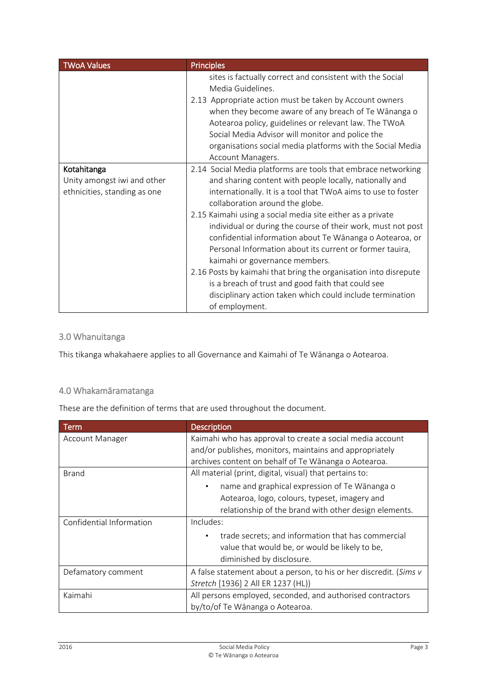| <b>TWoA Values</b>                                                         | <b>Principles</b>                                                                                                                                                                                                                                                                                                                                                                                                                                                                                                                                                                                                                                                                                                             |
|----------------------------------------------------------------------------|-------------------------------------------------------------------------------------------------------------------------------------------------------------------------------------------------------------------------------------------------------------------------------------------------------------------------------------------------------------------------------------------------------------------------------------------------------------------------------------------------------------------------------------------------------------------------------------------------------------------------------------------------------------------------------------------------------------------------------|
|                                                                            | sites is factually correct and consistent with the Social<br>Media Guidelines.<br>2.13 Appropriate action must be taken by Account owners<br>when they become aware of any breach of Te Wānanga o<br>Aotearoa policy, guidelines or relevant law. The TWoA<br>Social Media Advisor will monitor and police the<br>organisations social media platforms with the Social Media<br>Account Managers.                                                                                                                                                                                                                                                                                                                             |
| Kotahitanga<br>Unity amongst iwi and other<br>ethnicities, standing as one | 2.14 Social Media platforms are tools that embrace networking<br>and sharing content with people locally, nationally and<br>internationally. It is a tool that TWoA aims to use to foster<br>collaboration around the globe.<br>2.15 Kaimahi using a social media site either as a private<br>individual or during the course of their work, must not post<br>confidential information about Te Wānanga o Aotearoa, or<br>Personal Information about its current or former tauira,<br>kaimahi or governance members.<br>2.16 Posts by kaimahi that bring the organisation into disrepute<br>is a breach of trust and good faith that could see<br>disciplinary action taken which could include termination<br>of employment. |

# 3.0 Whanuitanga

This tikanga whakahaere applies to all Governance and Kaimahi of Te Wānanga o Aotearoa.

## 4.0 Whakamāramatanga

These are the definition of terms that are used throughout the document.

| Term                     | <b>Description</b>                                                 |
|--------------------------|--------------------------------------------------------------------|
| Account Manager          | Kaimahi who has approval to create a social media account          |
|                          | and/or publishes, monitors, maintains and appropriately            |
|                          | archives content on behalf of Te Wānanga o Aotearoa.               |
| <b>Brand</b>             | All material (print, digital, visual) that pertains to:            |
|                          | name and graphical expression of Te Wānanga o<br>٠                 |
|                          | Aotearoa, logo, colours, typeset, imagery and                      |
|                          | relationship of the brand with other design elements.              |
| Confidential Information | Includes:                                                          |
|                          | trade secrets; and information that has commercial                 |
|                          | value that would be, or would be likely to be,                     |
|                          | diminished by disclosure.                                          |
| Defamatory comment       | A false statement about a person, to his or her discredit. (Sims v |
|                          | Stretch [1936] 2 All ER 1237 (HL))                                 |
| Kaimahi                  | All persons employed, seconded, and authorised contractors         |
|                          | by/to/of Te Wānanga o Aotearoa.                                    |